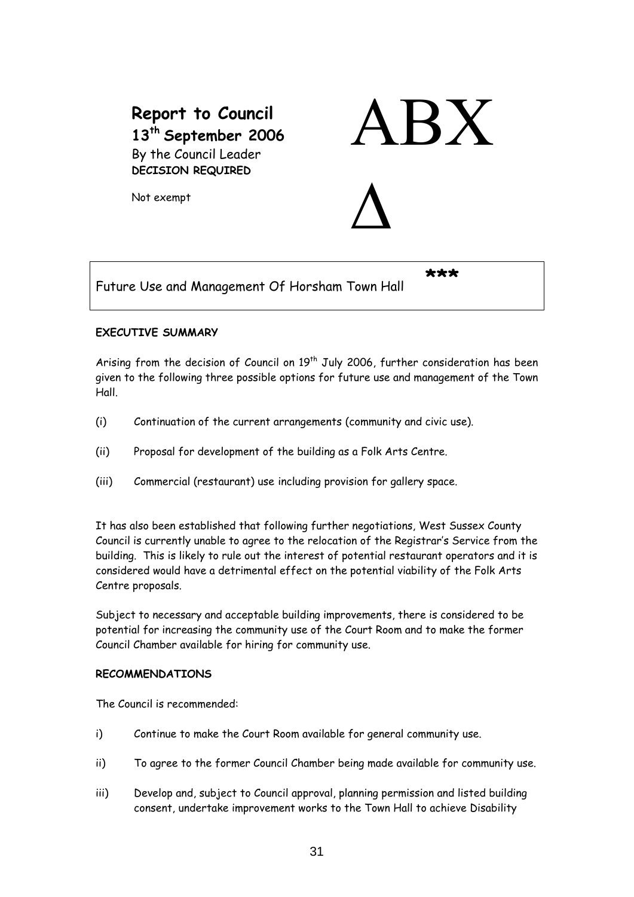# **Report to Council 13th September 2006**  By the Council Leader **DECISION REQUIRED**



Δ

Not exempt

Future Use and Management Of Horsham Town Hall **\*\*\*** 

## **EXECUTIVE SUMMARY**

Arising from the decision of Council on 19<sup>th</sup> July 2006, further consideration has been given to the following three possible options for future use and management of the Town Hall.

- (i) Continuation of the current arrangements (community and civic use).
- (ii) Proposal for development of the building as a Folk Arts Centre.
- (iii) Commercial (restaurant) use including provision for gallery space.

It has also been established that following further negotiations, West Sussex County Council is currently unable to agree to the relocation of the Registrar's Service from the building. This is likely to rule out the interest of potential restaurant operators and it is considered would have a detrimental effect on the potential viability of the Folk Arts Centre proposals.

Subject to necessary and acceptable building improvements, there is considered to be potential for increasing the community use of the Court Room and to make the former Council Chamber available for hiring for community use.

## **RECOMMENDATIONS**

The Council is recommended:

- i) Continue to make the Court Room available for general community use.
- ii) To agree to the former Council Chamber being made available for community use.
- iii) Develop and, subject to Council approval, planning permission and listed building consent, undertake improvement works to the Town Hall to achieve Disability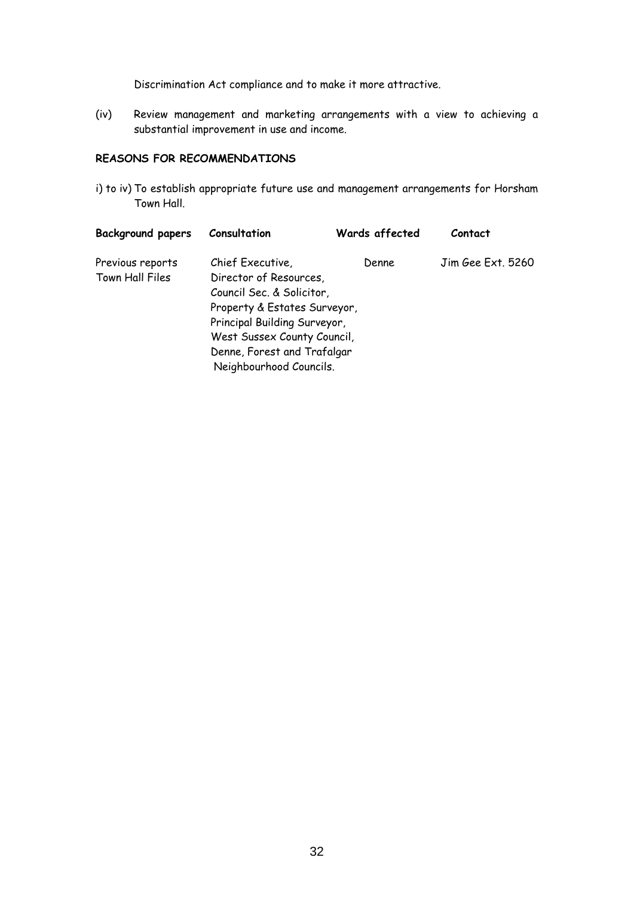Discrimination Act compliance and to make it more attractive.

(iv) Review management and marketing arrangements with a view to achieving a substantial improvement in use and income.

## **REASONS FOR RECOMMENDATIONS**

i) to iv) To establish appropriate future use and management arrangements for Horsham Town Hall.

| <b>Background papers</b> | Consultation                 | Wards affected | Contact           |  |  |
|--------------------------|------------------------------|----------------|-------------------|--|--|
| Previous reports         | Chief Executive,             | Denne          | Jim Gee Ext. 5260 |  |  |
| Town Hall Files          | Director of Resources,       |                |                   |  |  |
|                          | Council Sec. & Solicitor,    |                |                   |  |  |
|                          | Property & Estates Surveyor, |                |                   |  |  |
|                          | Principal Building Surveyor, |                |                   |  |  |
|                          | West Sussex County Council,  |                |                   |  |  |
|                          | Denne, Forest and Trafalgar  |                |                   |  |  |
|                          | Neighbourhood Councils.      |                |                   |  |  |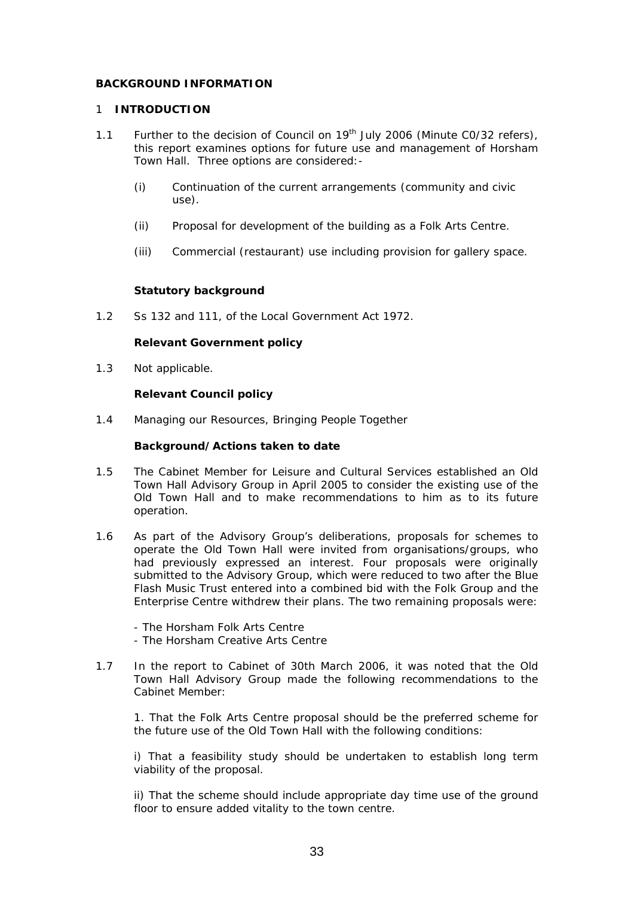## **BACKGROUND INFORMATION**

#### 1 **INTRODUCTION**

- 1.1 Further to the decision of Council on 19<sup>th</sup> July 2006 (Minute C0/32 refers), this report examines options for future use and management of Horsham Town Hall. Three options are considered:-
	- (i) Continuation of the current arrangements (community and civic use).
	- (ii) Proposal for development of the building as a Folk Arts Centre.
	- (iii) Commercial (restaurant) use including provision for gallery space.

#### **Statutory background**

1.2 Ss 132 and 111, of the Local Government Act 1972.

## **Relevant Government policy**

1.3 Not applicable.

#### **Relevant Council policy**

1.4 Managing our Resources, Bringing People Together

#### **Background/Actions taken to date**

- 1.5 The Cabinet Member for Leisure and Cultural Services established an Old Town Hall Advisory Group in April 2005 to consider the existing use of the Old Town Hall and to make recommendations to him as to its future operation.
- 1.6 As part of the Advisory Group's deliberations, proposals for schemes to operate the Old Town Hall were invited from organisations/groups, who had previously expressed an interest. Four proposals were originally submitted to the Advisory Group, which were reduced to two after the Blue Flash Music Trust entered into a combined bid with the Folk Group and the Enterprise Centre withdrew their plans. The two remaining proposals were:
	- The Horsham Folk Arts Centre
	- The Horsham Creative Arts Centre
- 1.7 In the report to Cabinet of 30th March 2006, it was noted that the Old Town Hall Advisory Group made the following recommendations to the Cabinet Member:

1. That the Folk Arts Centre proposal should be the preferred scheme for the future use of the Old Town Hall with the following conditions:

i) That a feasibility study should be undertaken to establish long term viability of the proposal.

ii) That the scheme should include appropriate day time use of the ground floor to ensure added vitality to the town centre.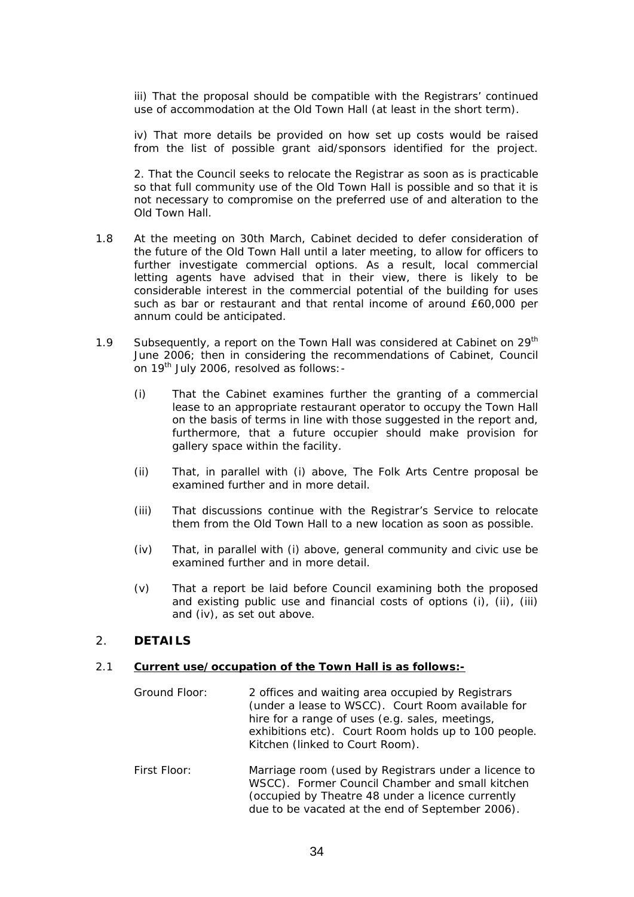iii) That the proposal should be compatible with the Registrars' continued use of accommodation at the Old Town Hall (at least in the short term).

iv) That more details be provided on how set up costs would be raised from the list of possible grant aid/sponsors identified for the project.

2. That the Council seeks to relocate the Registrar as soon as is practicable so that full community use of the Old Town Hall is possible and so that it is not necessary to compromise on the preferred use of and alteration to the Old Town Hall.

- 1.8 At the meeting on 30th March, Cabinet decided to defer consideration of the future of the Old Town Hall until a later meeting, to allow for officers to further investigate commercial options. As a result, local commercial letting agents have advised that in their view, there is likely to be considerable interest in the commercial potential of the building for uses such as bar or restaurant and that rental income of around £60,000 per annum could be anticipated.
- 1.9 Subsequently, a report on the Town Hall was considered at Cabinet on 29<sup>th</sup> June 2006; then in considering the recommendations of Cabinet, Council on 19<sup>th</sup> July 2006, resolved as follows: -
	- (i) That the Cabinet examines further the granting of a commercial lease to an appropriate restaurant operator to occupy the Town Hall on the basis of terms in line with those suggested in the report and, furthermore, that a future occupier should make provision for gallery space within the facility.
	- (ii) That, in parallel with (i) above, The Folk Arts Centre proposal be examined further and in more detail.
	- (iii) That discussions continue with the Registrar's Service to relocate them from the Old Town Hall to a new location as soon as possible.
	- (iv) That, in parallel with (i) above, general community and civic use be examined further and in more detail.
	- (v) That a report be laid before Council examining both the proposed and existing public use and financial costs of options (i), (ii), (iii) and (iv), as set out above.

## 2. **DETAILS**

#### 2.1 **Current use/occupation of the Town Hall is as follows:-**

- Ground Floor: 2 offices and waiting area occupied by Registrars (under a lease to WSCC). Court Room available for hire for a range of uses (e.g. sales, meetings, exhibitions etc). Court Room holds up to 100 people. Kitchen (linked to Court Room).
- First Floor: Marriage room (used by Registrars under a licence to WSCC). Former Council Chamber and small kitchen (occupied by Theatre 48 under a licence currently due to be vacated at the end of September 2006).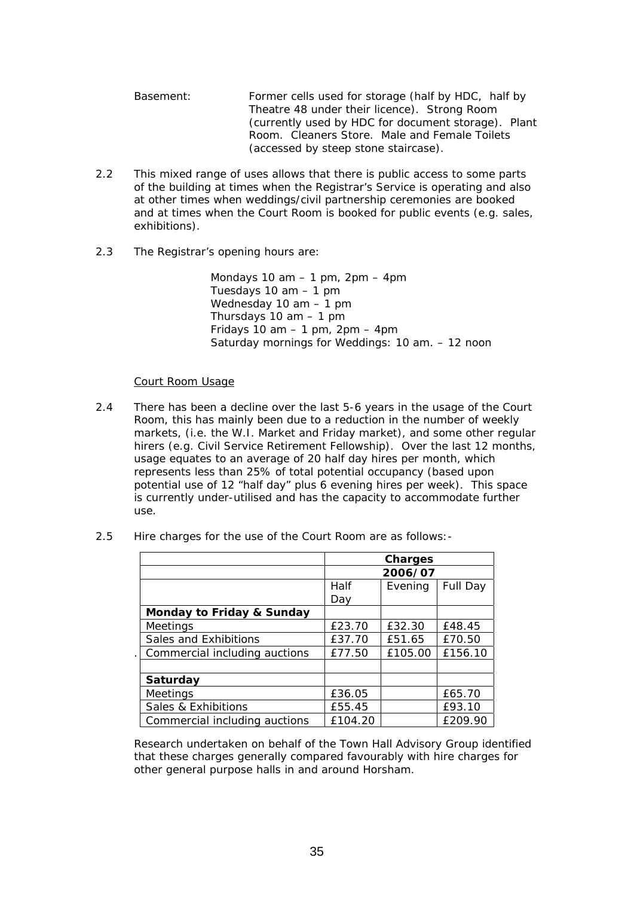| Basement: | Former cells used for storage (half by HDC, half by |
|-----------|-----------------------------------------------------|
|           | Theatre 48 under their licence). Strong Room        |
|           | (currently used by HDC for document storage). Plant |
|           | Room. Cleaners Store. Male and Female Toilets       |
|           | (accessed by steep stone staircase).                |

- 2.2 This mixed range of uses allows that there is public access to some parts of the building at times when the Registrar's Service is operating and also at other times when weddings/civil partnership ceremonies are booked and at times when the Court Room is booked for public events (e.g. sales, exhibitions).
- 2.3 The Registrar's opening hours are:

Mondays 10 am  $-$  1 pm, 2pm  $-$  4pm Tuesdays 10 am – 1 pm Wednesday 10 am – 1 pm Thursdays 10 am – 1 pm Fridays 10 am  $-$  1 pm, 2pm  $-$  4pm Saturday mornings for Weddings: 10 am. – 12 noon

## Court Room Usage

- 2.4 There has been a decline over the last 5-6 years in the usage of the Court Room, this has mainly been due to a reduction in the number of weekly markets, (i.e. the W.I. Market and Friday market), and some other regular hirers (e.g. Civil Service Retirement Fellowship). Over the last 12 months, usage equates to an average of 20 half day hires per month, which represents less than 25% of total potential occupancy (based upon potential use of 12 "half day" plus 6 evening hires per week). This space is currently under-utilised and has the capacity to accommodate further use.
- 2.5 Hire charges for the use of the Court Room are as follows:-

|                               | <b>Charges</b> |                     |         |  |
|-------------------------------|----------------|---------------------|---------|--|
|                               | 2006/07        |                     |         |  |
|                               | Half           | Full Day<br>Evening |         |  |
|                               | Day            |                     |         |  |
| Monday to Friday & Sunday     |                |                     |         |  |
| <b>Meetings</b>               | £23.70         | £32.30              | £48.45  |  |
| Sales and Exhibitions         | £37.70         | £51.65              | £70.50  |  |
| Commercial including auctions | £77.50         | £105.00             | £156.10 |  |
|                               |                |                     |         |  |
| Saturday                      |                |                     |         |  |
| <b>Meetings</b>               | £36.05         |                     | £65.70  |  |
| Sales & Exhibitions           | £55.45         |                     | £93.10  |  |
| Commercial including auctions | £104.20        |                     | £209.90 |  |

Research undertaken on behalf of the Town Hall Advisory Group identified that these charges generally compared favourably with hire charges for other general purpose halls in and around Horsham.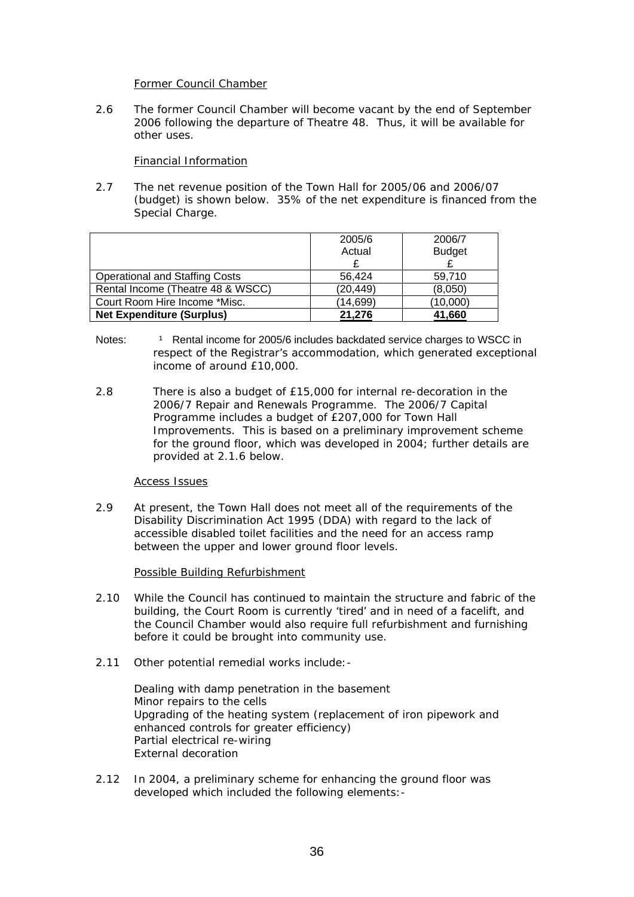#### Former Council Chamber

2.6 The former Council Chamber will become vacant by the end of September 2006 following the departure of Theatre 48. Thus, it will be available for other uses.

## Financial Information

2.7 The net revenue position of the Town Hall for 2005/06 and 2006/07 (budget) is shown below. 35% of the net expenditure is financed from the Special Charge.

|                                       | 2005/6    | 2006/7        |  |  |
|---------------------------------------|-----------|---------------|--|--|
|                                       | Actual    | <b>Budget</b> |  |  |
|                                       |           |               |  |  |
| <b>Operational and Staffing Costs</b> | 56.424    | 59.710        |  |  |
| Rental Income (Theatre 48 & WSCC)     | (20, 449) | (8,050)       |  |  |
| Court Room Hire Income *Misc.         | (14,699)  | (10,000)      |  |  |
| <b>Net Expenditure (Surplus)</b>      | 21.276    | 41,660        |  |  |

- Notes: <sup>1</sup> Rental income for 2005/6 includes backdated service charges to WSCC in respect of the Registrar's accommodation, which generated exceptional income of around £10,000.
- 2.8 There is also a budget of £15,000 for internal re-decoration in the 2006/7 Repair and Renewals Programme. The 2006/7 Capital Programme includes a budget of £207,000 for Town Hall Improvements. This is based on a preliminary improvement scheme for the ground floor, which was developed in 2004; further details are provided at 2.1.6 below.

## Access Issues

2.9 At present, the Town Hall does not meet all of the requirements of the Disability Discrimination Act 1995 (DDA) with regard to the lack of accessible disabled toilet facilities and the need for an access ramp between the upper and lower ground floor levels.

## Possible Building Refurbishment

- 2.10 While the Council has continued to maintain the structure and fabric of the building, the Court Room is currently 'tired' and in need of a facelift, and the Council Chamber would also require full refurbishment and furnishing before it could be brought into community use.
- 2.11 Other potential remedial works include:-

 Dealing with damp penetration in the basement Minor repairs to the cells Upgrading of the heating system (replacement of iron pipework and enhanced controls for greater efficiency) Partial electrical re-wiring External decoration

2.12 In 2004, a preliminary scheme for enhancing the ground floor was developed which included the following elements:-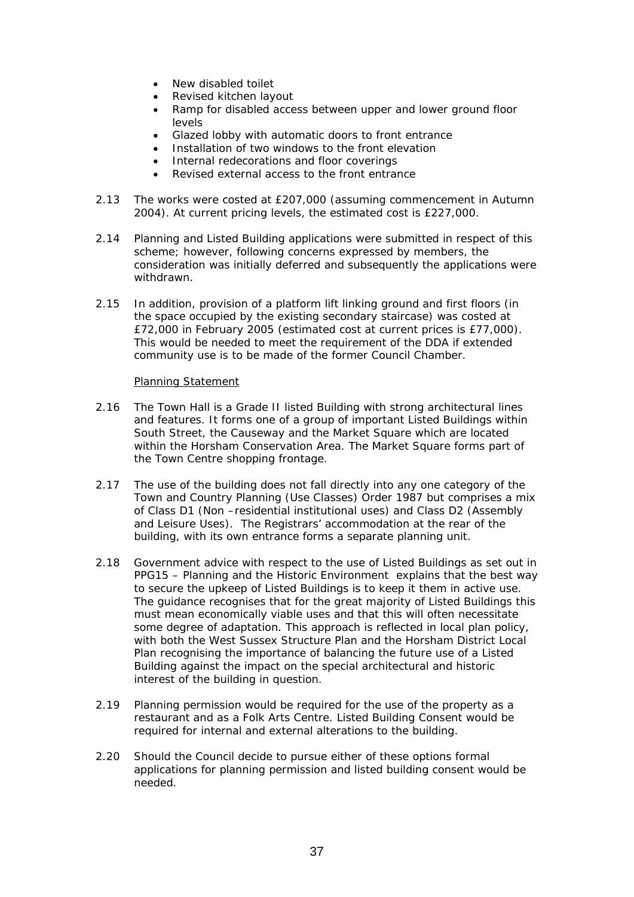- New disabled toilet
- Revised kitchen layout
- Ramp for disabled access between upper and lower ground floor levels
- Glazed lobby with automatic doors to front entrance
- Installation of two windows to the front elevation
- Internal redecorations and floor coverings
- Revised external access to the front entrance
- 2.13 The works were costed at £207,000 (assuming commencement in Autumn 2004). At current pricing levels, the estimated cost is £227,000.
- 2.14 Planning and Listed Building applications were submitted in respect of this scheme; however, following concerns expressed by members, the consideration was initially deferred and subsequently the applications were withdrawn.
- 2.15 In addition, provision of a platform lift linking ground and first floors (in the space occupied by the existing secondary staircase) was costed at £72,000 in February 2005 (estimated cost at current prices is £77,000). This would be needed to meet the requirement of the DDA if extended community use is to be made of the former Council Chamber.

## Planning Statement

- 2.16 The Town Hall is a Grade II listed Building with strong architectural lines and features. It forms one of a group of important Listed Buildings within South Street, the Causeway and the Market Square which are located within the Horsham Conservation Area. The Market Square forms part of the Town Centre shopping frontage.
- 2.17 The use of the building does not fall directly into any one category of the Town and Country Planning (Use Classes) Order 1987 but comprises a mix of Class D1 (Non –residential institutional uses) and Class D2 (Assembly and Leisure Uses). The Registrars' accommodation at the rear of the building, with its own entrance forms a separate planning unit.
- 2.18 Government advice with respect to the use of Listed Buildings as set out in PPG15 – Planning and the Historic Environment explains that the best way to secure the upkeep of Listed Buildings is to keep it them in active use. The guidance recognises that for the great majority of Listed Buildings this must mean economically viable uses and that this will often necessitate some degree of adaptation. This approach is reflected in local plan policy, with both the West Sussex Structure Plan and the Horsham District Local Plan recognising the importance of balancing the future use of a Listed Building against the impact on the special architectural and historic interest of the building in question.
- 2.19 Planning permission would be required for the use of the property as a restaurant and as a Folk Arts Centre. Listed Building Consent would be required for internal and external alterations to the building.
- 2.20 Should the Council decide to pursue either of these options formal applications for planning permission and listed building consent would be needed.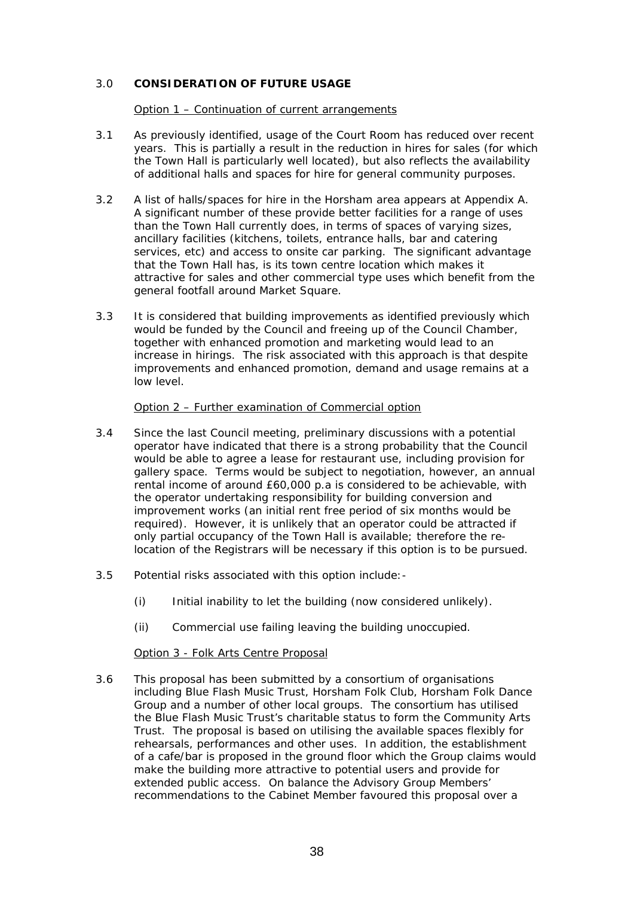## 3.0 **CONSIDERATION OF FUTURE USAGE**

Option 1 – Continuation of current arrangements

- 3.1 As previously identified, usage of the Court Room has reduced over recent years. This is partially a result in the reduction in hires for sales (for which the Town Hall is particularly well located), but also reflects the availability of additional halls and spaces for hire for general community purposes.
- 3.2 A list of halls/spaces for hire in the Horsham area appears at Appendix A. A significant number of these provide better facilities for a range of uses than the Town Hall currently does, in terms of spaces of varying sizes, ancillary facilities (kitchens, toilets, entrance halls, bar and catering services, etc) and access to onsite car parking. The significant advantage that the Town Hall has, is its town centre location which makes it attractive for sales and other commercial type uses which benefit from the general footfall around Market Square.
- 3.3 It is considered that building improvements as identified previously which would be funded by the Council and freeing up of the Council Chamber, together with enhanced promotion and marketing would lead to an increase in hirings. The risk associated with this approach is that despite improvements and enhanced promotion, demand and usage remains at a low level.

#### Option 2 – Further examination of Commercial option

- 3.4 Since the last Council meeting, preliminary discussions with a potential operator have indicated that there is a strong probability that the Council would be able to agree a lease for restaurant use, including provision for gallery space. Terms would be subject to negotiation, however, an annual rental income of around £60,000 p.a is considered to be achievable, with the operator undertaking responsibility for building conversion and improvement works (an initial rent free period of six months would be required). However, it is unlikely that an operator could be attracted if only partial occupancy of the Town Hall is available; therefore the relocation of the Registrars will be necessary if this option is to be pursued.
- 3.5 Potential risks associated with this option include:-
	- (i) Initial inability to let the building (now considered unlikely).
	- (ii) Commercial use failing leaving the building unoccupied.

#### Option 3 - Folk Arts Centre Proposal

3.6 This proposal has been submitted by a consortium of organisations including Blue Flash Music Trust, Horsham Folk Club, Horsham Folk Dance Group and a number of other local groups. The consortium has utilised the Blue Flash Music Trust's charitable status to form the Community Arts Trust. The proposal is based on utilising the available spaces flexibly for rehearsals, performances and other uses. In addition, the establishment of a cafe/bar is proposed in the ground floor which the Group claims would make the building more attractive to potential users and provide for extended public access. On balance the Advisory Group Members' recommendations to the Cabinet Member favoured this proposal over a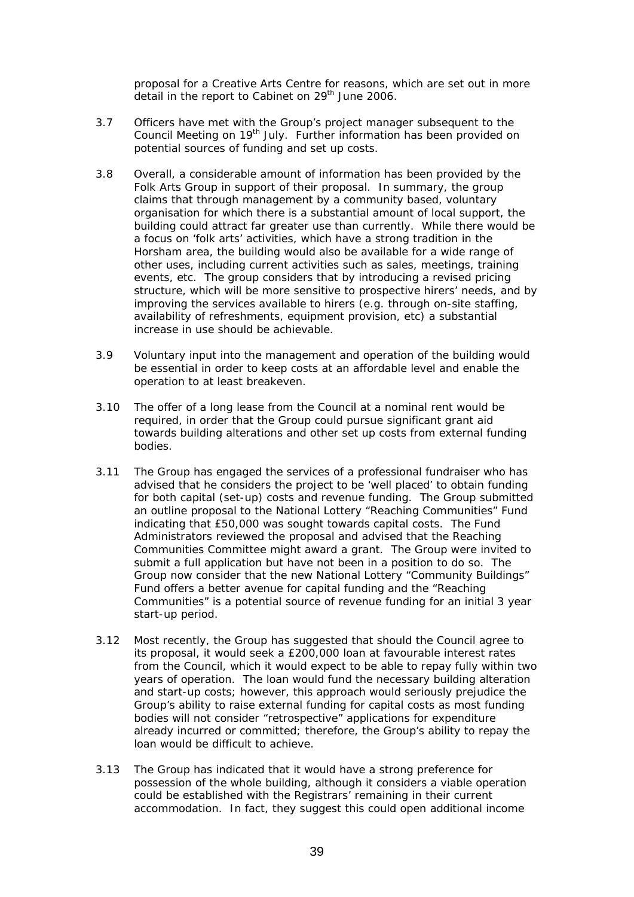proposal for a Creative Arts Centre for reasons, which are set out in more detail in the report to Cabinet on 29<sup>th</sup> June 2006.

- 3.7 Officers have met with the Group's project manager subsequent to the Council Meeting on 19<sup>th</sup> July. Further information has been provided on potential sources of funding and set up costs.
- 3.8 Overall, a considerable amount of information has been provided by the Folk Arts Group in support of their proposal. In summary, the group claims that through management by a community based, voluntary organisation for which there is a substantial amount of local support, the building could attract far greater use than currently. While there would be a focus on 'folk arts' activities, which have a strong tradition in the Horsham area, the building would also be available for a wide range of other uses, including current activities such as sales, meetings, training events, etc. The group considers that by introducing a revised pricing structure, which will be more sensitive to prospective hirers' needs, and by improving the services available to hirers (e.g. through on-site staffing, availability of refreshments, equipment provision, etc) a substantial increase in use should be achievable.
- 3.9 Voluntary input into the management and operation of the building would be essential in order to keep costs at an affordable level and enable the operation to at least breakeven.
- 3.10 The offer of a long lease from the Council at a nominal rent would be required, in order that the Group could pursue significant grant aid towards building alterations and other set up costs from external funding bodies.
- 3.11 The Group has engaged the services of a professional fundraiser who has advised that he considers the project to be 'well placed' to obtain funding for both capital (set-up) costs and revenue funding. The Group submitted an outline proposal to the National Lottery "Reaching Communities" Fund indicating that £50,000 was sought towards capital costs. The Fund Administrators reviewed the proposal and advised that the Reaching Communities Committee might award a grant. The Group were invited to submit a full application but have not been in a position to do so. The Group now consider that the new National Lottery "Community Buildings" Fund offers a better avenue for capital funding and the "Reaching Communities" is a potential source of revenue funding for an initial 3 year start-up period.
- 3.12 Most recently, the Group has suggested that should the Council agree to its proposal, it would seek a £200,000 loan at favourable interest rates from the Council, which it would expect to be able to repay fully within two years of operation. The loan would fund the necessary building alteration and start-up costs; however, this approach would seriously prejudice the Group's ability to raise external funding for capital costs as most funding bodies will not consider "retrospective" applications for expenditure already incurred or committed; therefore, the Group's ability to repay the loan would be difficult to achieve.
- 3.13 The Group has indicated that it would have a strong preference for possession of the whole building, although it considers a viable operation could be established with the Registrars' remaining in their current accommodation. In fact, they suggest this could open additional income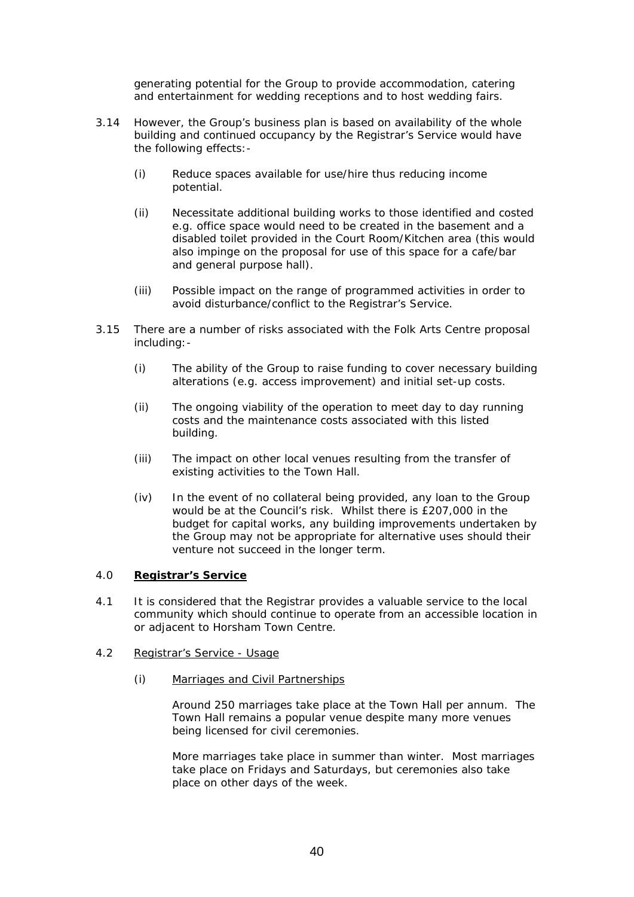generating potential for the Group to provide accommodation, catering and entertainment for wedding receptions and to host wedding fairs.

- 3.14 However, the Group's business plan is based on availability of the whole building and continued occupancy by the Registrar's Service would have the following effects:-
	- (i) Reduce spaces available for use/hire thus reducing income potential.
	- (ii) Necessitate additional building works to those identified and costed e.g. office space would need to be created in the basement and a disabled toilet provided in the Court Room/Kitchen area (this would also impinge on the proposal for use of this space for a cafe/bar and general purpose hall).
	- (iii) Possible impact on the range of programmed activities in order to avoid disturbance/conflict to the Registrar's Service.
- 3.15 There are a number of risks associated with the Folk Arts Centre proposal including:-
	- (i) The ability of the Group to raise funding to cover necessary building alterations (e.g. access improvement) and initial set-up costs.
	- (ii) The ongoing viability of the operation to meet day to day running costs and the maintenance costs associated with this listed building.
	- (iii) The impact on other local venues resulting from the transfer of existing activities to the Town Hall.
	- (iv) In the event of no collateral being provided, any loan to the Group would be at the Council's risk. Whilst there is £207,000 in the budget for capital works, any building improvements undertaken by the Group may not be appropriate for alternative uses should their venture not succeed in the longer term.

## 4.0 **Registrar's Service**

- 4.1 It is considered that the Registrar provides a valuable service to the local community which should continue to operate from an accessible location in or adjacent to Horsham Town Centre.
- 4.2 Registrar's Service Usage
	- (i) Marriages and Civil Partnerships

Around 250 marriages take place at the Town Hall per annum. The Town Hall remains a popular venue despite many more venues being licensed for civil ceremonies.

More marriages take place in summer than winter. Most marriages take place on Fridays and Saturdays, but ceremonies also take place on other days of the week.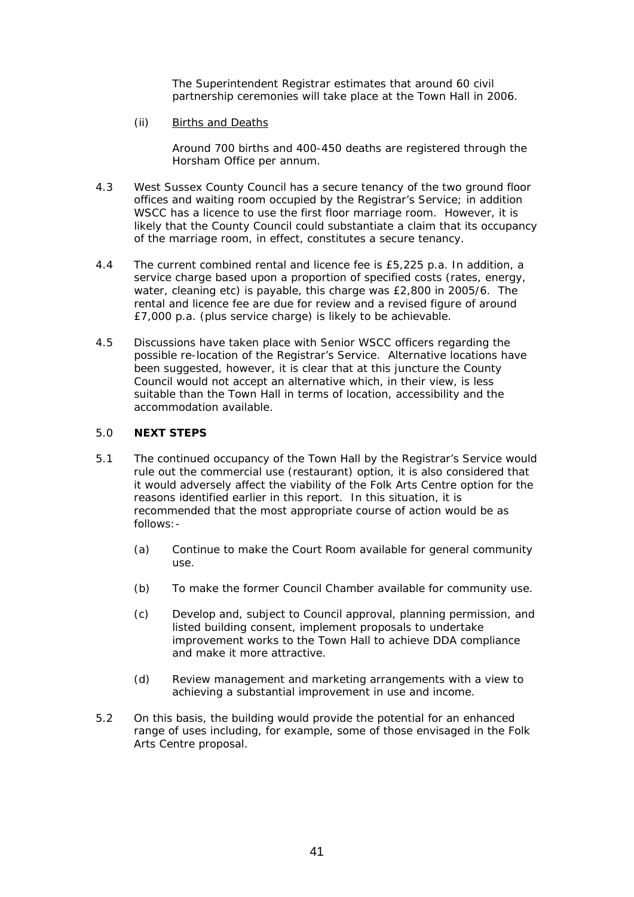The Superintendent Registrar estimates that around 60 civil partnership ceremonies will take place at the Town Hall in 2006.

(ii) Births and Deaths

Around 700 births and 400-450 deaths are registered through the Horsham Office per annum.

- 4.3 West Sussex County Council has a secure tenancy of the two ground floor offices and waiting room occupied by the Registrar's Service; in addition WSCC has a licence to use the first floor marriage room. However, it is likely that the County Council could substantiate a claim that its occupancy of the marriage room, in effect, constitutes a secure tenancy.
- 4.4 The current combined rental and licence fee is £5,225 p.a. In addition, a service charge based upon a proportion of specified costs (rates, energy, water, cleaning etc) is payable, this charge was £2,800 in 2005/6. The rental and licence fee are due for review and a revised figure of around £7,000 p.a. (plus service charge) is likely to be achievable.
- 4.5 Discussions have taken place with Senior WSCC officers regarding the possible re-location of the Registrar's Service. Alternative locations have been suggested, however, it is clear that at this juncture the County Council would not accept an alternative which, in their view, is less suitable than the Town Hall in terms of location, accessibility and the accommodation available.

## 5.0 **NEXT STEPS**

- 5.1 The continued occupancy of the Town Hall by the Registrar's Service would rule out the commercial use (restaurant) option, it is also considered that it would adversely affect the viability of the Folk Arts Centre option for the reasons identified earlier in this report. In this situation, it is recommended that the most appropriate course of action would be as follows:-
	- (a) Continue to make the Court Room available for general community use.
	- (b) To make the former Council Chamber available for community use.
	- (c) Develop and, subject to Council approval, planning permission, and listed building consent, implement proposals to undertake improvement works to the Town Hall to achieve DDA compliance and make it more attractive.
	- (d) Review management and marketing arrangements with a view to achieving a substantial improvement in use and income.
- 5.2 On this basis, the building would provide the potential for an enhanced range of uses including, for example, some of those envisaged in the Folk Arts Centre proposal.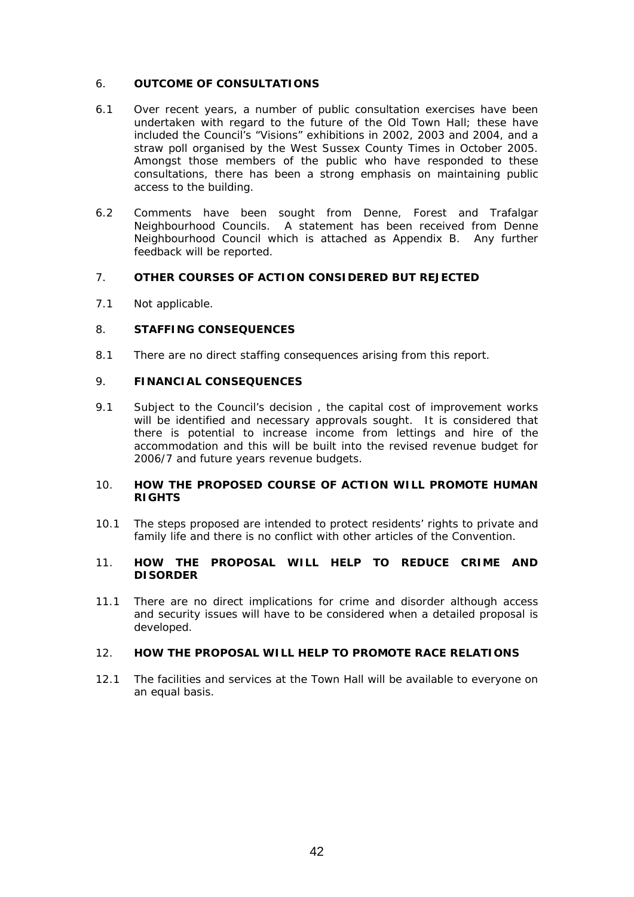## 6. **OUTCOME OF CONSULTATIONS**

- 6.1 Over recent years, a number of public consultation exercises have been undertaken with regard to the future of the Old Town Hall; these have included the Council's "Visions" exhibitions in 2002, 2003 and 2004, and a straw poll organised by the West Sussex County Times in October 2005. Amongst those members of the public who have responded to these consultations, there has been a strong emphasis on maintaining public access to the building.
- 6.2 Comments have been sought from Denne, Forest and Trafalgar Neighbourhood Councils. A statement has been received from Denne Neighbourhood Council which is attached as Appendix B. Any further feedback will be reported.

## 7. **OTHER COURSES OF ACTION CONSIDERED BUT REJECTED**

7.1 Not applicable.

## 8. **STAFFING CONSEQUENCES**

8.1 There are no direct staffing consequences arising from this report.

## 9. **FINANCIAL CONSEQUENCES**

9.1 Subject to the Council's decision , the capital cost of improvement works will be identified and necessary approvals sought. It is considered that there is potential to increase income from lettings and hire of the accommodation and this will be built into the revised revenue budget for 2006/7 and future years revenue budgets.

## 10. **HOW THE PROPOSED COURSE OF ACTION WILL PROMOTE HUMAN RIGHTS**

10.1 The steps proposed are intended to protect residents' rights to private and family life and there is no conflict with other articles of the Convention.

## 11. **HOW THE PROPOSAL WILL HELP TO REDUCE CRIME AND DISORDER**

11.1 There are no direct implications for crime and disorder although access and security issues will have to be considered when a detailed proposal is developed.

## 12. **HOW THE PROPOSAL WILL HELP TO PROMOTE RACE RELATIONS**

12.1 The facilities and services at the Town Hall will be available to everyone on an equal basis.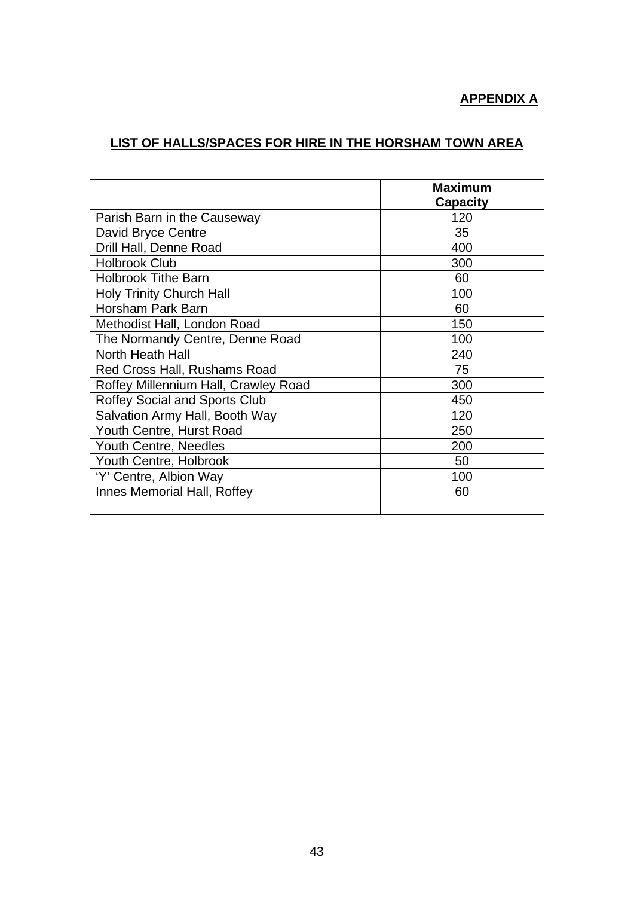# **APPENDIX A**

# **LIST OF HALLS/SPACES FOR HIRE IN THE HORSHAM TOWN AREA**

|                                      | <b>Maximum</b>  |
|--------------------------------------|-----------------|
|                                      | <b>Capacity</b> |
| Parish Barn in the Causeway          | 120             |
| David Bryce Centre                   | 35              |
| Drill Hall, Denne Road               | 400             |
| <b>Holbrook Club</b>                 | 300             |
| <b>Holbrook Tithe Barn</b>           | 60              |
| Holy Trinity Church Hall             | 100             |
| Horsham Park Barn                    | 60              |
| Methodist Hall, London Road          | 150             |
| The Normandy Centre, Denne Road      | 100             |
| <b>North Heath Hall</b>              | 240             |
| Red Cross Hall, Rushams Road         | 75              |
| Roffey Millennium Hall, Crawley Road | 300             |
| <b>Roffey Social and Sports Club</b> | 450             |
| Salvation Army Hall, Booth Way       | 120             |
| Youth Centre, Hurst Road             | 250             |
| Youth Centre, Needles                | 200             |
| Youth Centre, Holbrook               | 50              |
| 'Y' Centre, Albion Way               | 100             |
| Innes Memorial Hall, Roffey          | 60              |
|                                      |                 |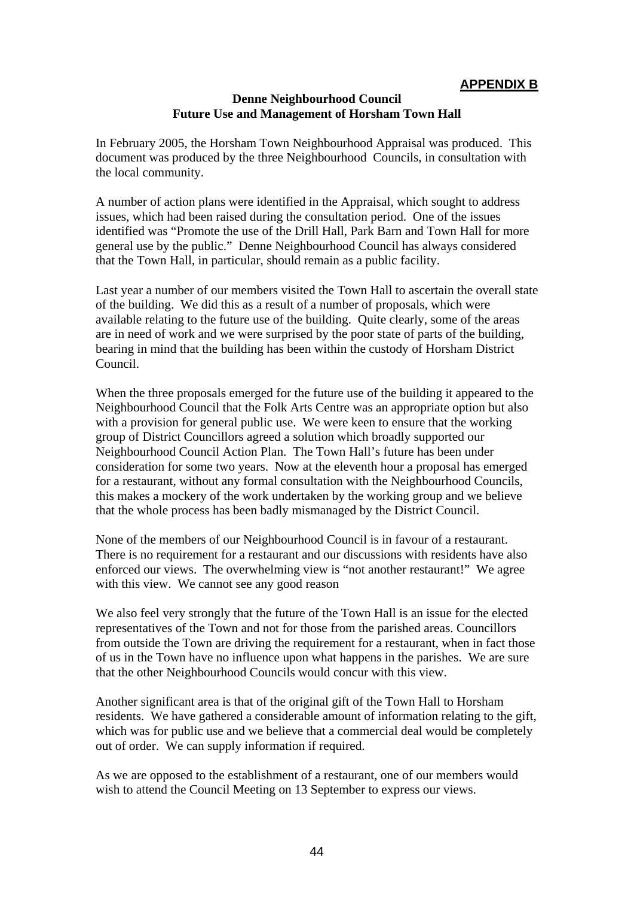## **APPENDIX B**

## **Denne Neighbourhood Council Future Use and Management of Horsham Town Hall**

In February 2005, the Horsham Town Neighbourhood Appraisal was produced. This document was produced by the three Neighbourhood Councils, in consultation with the local community.

A number of action plans were identified in the Appraisal, which sought to address issues, which had been raised during the consultation period. One of the issues identified was "Promote the use of the Drill Hall, Park Barn and Town Hall for more general use by the public." Denne Neighbourhood Council has always considered that the Town Hall, in particular, should remain as a public facility.

Last year a number of our members visited the Town Hall to ascertain the overall state of the building. We did this as a result of a number of proposals, which were available relating to the future use of the building. Quite clearly, some of the areas are in need of work and we were surprised by the poor state of parts of the building, bearing in mind that the building has been within the custody of Horsham District Council.

When the three proposals emerged for the future use of the building it appeared to the Neighbourhood Council that the Folk Arts Centre was an appropriate option but also with a provision for general public use. We were keen to ensure that the working group of District Councillors agreed a solution which broadly supported our Neighbourhood Council Action Plan. The Town Hall's future has been under consideration for some two years. Now at the eleventh hour a proposal has emerged for a restaurant, without any formal consultation with the Neighbourhood Councils, this makes a mockery of the work undertaken by the working group and we believe that the whole process has been badly mismanaged by the District Council.

None of the members of our Neighbourhood Council is in favour of a restaurant. There is no requirement for a restaurant and our discussions with residents have also enforced our views. The overwhelming view is "not another restaurant!" We agree with this view. We cannot see any good reason

We also feel very strongly that the future of the Town Hall is an issue for the elected representatives of the Town and not for those from the parished areas. Councillors from outside the Town are driving the requirement for a restaurant, when in fact those of us in the Town have no influence upon what happens in the parishes. We are sure that the other Neighbourhood Councils would concur with this view.

Another significant area is that of the original gift of the Town Hall to Horsham residents. We have gathered a considerable amount of information relating to the gift, which was for public use and we believe that a commercial deal would be completely out of order. We can supply information if required.

As we are opposed to the establishment of a restaurant, one of our members would wish to attend the Council Meeting on 13 September to express our views.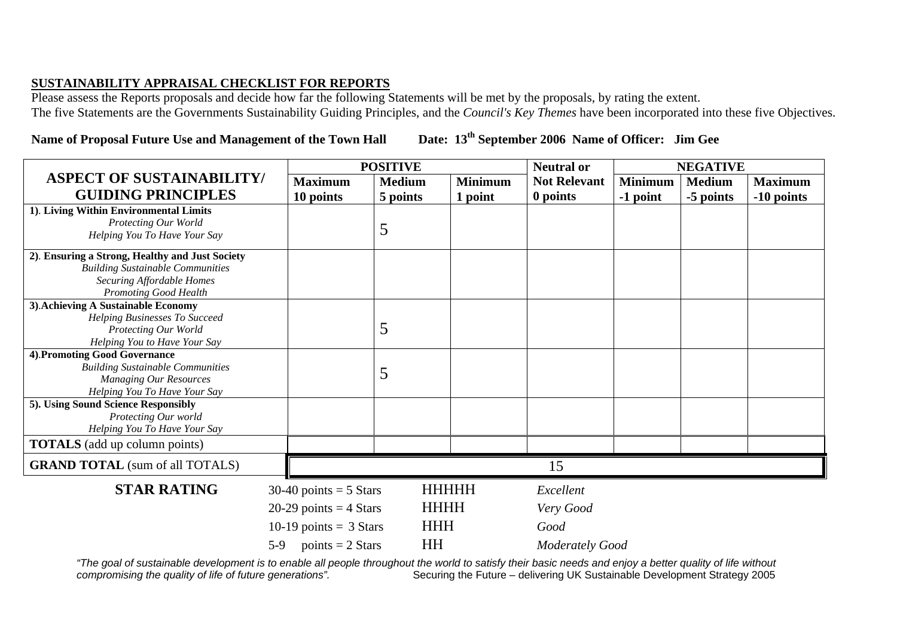## **SUSTAINABILITY APPRAISAL CHECKLIST FOR REPORTS**

Please assess the Reports proposals and decide how far the following Statements will be met by the proposals, by rating the extent. The five Statements are the Governments Sustainability Guiding Principles, and the *Council's Key Themes* have been incorporated into these five Objectives.

# **Name of Proposal Future Use and Management of the Town Hall Date: 13th September 2006 Name of Officer: Jim Gee**

|                                                         |                          | <b>POSITIVE</b> |                |                        | <b>NEGATIVE</b> |               |                |
|---------------------------------------------------------|--------------------------|-----------------|----------------|------------------------|-----------------|---------------|----------------|
| <b>ASPECT OF SUSTAINABILITY/</b>                        | <b>Maximum</b>           | <b>Medium</b>   | <b>Minimum</b> | <b>Not Relevant</b>    | <b>Minimum</b>  | <b>Medium</b> | <b>Maximum</b> |
| <b>GUIDING PRINCIPLES</b>                               | 10 points                | 5 points        | 1 point        | 0 points               | -1 point        | -5 points     | -10 points     |
| 1). Living Within Environmental Limits                  |                          |                 |                |                        |                 |               |                |
| Protecting Our World                                    |                          | 5               |                |                        |                 |               |                |
| Helping You To Have Your Say                            |                          |                 |                |                        |                 |               |                |
| 2). Ensuring a Strong, Healthy and Just Society         |                          |                 |                |                        |                 |               |                |
| <b>Building Sustainable Communities</b>                 |                          |                 |                |                        |                 |               |                |
| <b>Securing Affordable Homes</b>                        |                          |                 |                |                        |                 |               |                |
| <b>Promoting Good Health</b>                            |                          |                 |                |                        |                 |               |                |
| 3). Achieving A Sustainable Economy                     |                          |                 |                |                        |                 |               |                |
| Helping Businesses To Succeed<br>Protecting Our World   |                          | 5               |                |                        |                 |               |                |
| Helping You to Have Your Say                            |                          |                 |                |                        |                 |               |                |
| 4). Promoting Good Governance                           |                          |                 |                |                        |                 |               |                |
| <b>Building Sustainable Communities</b>                 |                          |                 |                |                        |                 |               |                |
| <b>Managing Our Resources</b>                           |                          | 5               |                |                        |                 |               |                |
| Helping You To Have Your Say                            |                          |                 |                |                        |                 |               |                |
| 5). Using Sound Science Responsibly                     |                          |                 |                |                        |                 |               |                |
| Protecting Our world                                    |                          |                 |                |                        |                 |               |                |
| Helping You To Have Your Say                            |                          |                 |                |                        |                 |               |                |
| <b>TOTALS</b> (add up column points)                    |                          |                 |                |                        |                 |               |                |
| <b>GRAND TOTAL</b> (sum of all TOTALS)                  |                          |                 |                | 15                     |                 |               |                |
| <b>STAR RATING</b>                                      | $30-40$ points = 5 Stars |                 | <b>HHHHHH</b>  | Excellent              |                 |               |                |
|                                                         | 20-29 points $=$ 4 Stars |                 | <b>HHHH</b>    | Very Good              |                 |               |                |
| 10-19 points = $3$ Stars<br>points $= 2$ Stars<br>$5-9$ |                          | <b>HHH</b>      |                | Good                   |                 |               |                |
|                                                         |                          | <b>HH</b>       |                | <b>Moderately Good</b> |                 |               |                |

The goal of sustainable development is to enable all people throughout the world to satisfy their basic needs and enjoy a better quality of life without compromising the quality of life of future generations".<br>Securing the Securing the Future – delivering UK Sustainable Development Strategy 2005